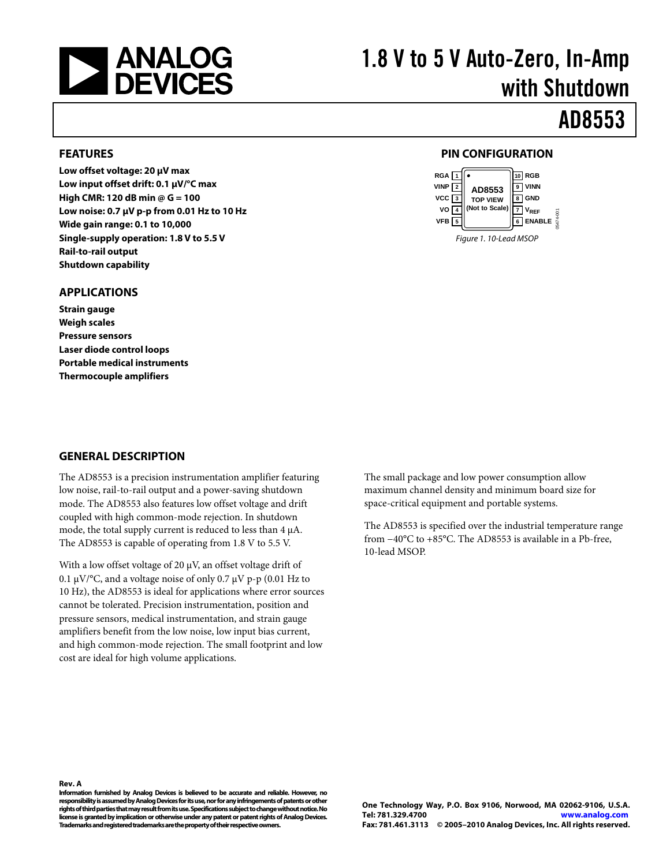<span id="page-0-0"></span>

# 1.8 V to 5 V Auto-Zero, In-Amp with Shutdown

# AD8553

#### **FEATURES**

**Low offset voltage: 20 μV max Low input offset drift: 0.1 μV/°C max High CMR: 120 dB min @ G = 100 Low noise: 0.7 μV p-p from 0.01 Hz to 10 Hz Wide gain range: 0.1 to 10,000 Single-supply operation: 1.8 V to 5.5 V Rail-to-rail output Shutdown capability** 

#### **APPLICATIONS**

**Strain gauge Weigh scales Pressure sensors Laser diode control loops Portable medical instruments Thermocouple amplifiers** 

#### **PIN CONFIGURATION**



#### **GENERAL DESCRIPTION**

The AD8553 is a precision instrumentation amplifier featuring low noise, rail-to-rail output and a power-saving shutdown mode. The AD8553 also features low offset voltage and drift coupled with high common-mode rejection. In shutdown mode, the total supply current is reduced to less than 4 μA. The AD8553 is capable of operating from 1.8 V to 5.5 V.

With a low offset voltage of 20 μV, an offset voltage drift of 0.1  $\mu$ V/°C, and a voltage noise of only 0.7  $\mu$ V p-p (0.01 Hz to 10 Hz), the AD8553 is ideal for applications where error sources cannot be tolerated. Precision instrumentation, position and pressure sensors, medical instrumentation, and strain gauge amplifiers benefit from the low noise, low input bias current, and high common-mode rejection. The small footprint and low cost are ideal for high volume applications.

The small package and low power consumption allow maximum channel density and minimum board size for space-critical equipment and portable systems.

The AD8553 is specified over the industrial temperature range from −40°C to +85°C. The AD8553 is available in a Pb-free, 10-lead MSOP.

**Rev. A** 

**Information furnished by Analog Devices is believed to be accurate and reliable. However, no responsibility is assumed by Analog Devices for its use, nor for any infringements of patents or other rights of third parties that may result from its use. Specifications subject to change without notice. No license is granted by implication or otherwise under any patent or patent rights of Analog Devices. Trademarks and registered trademarks are the property of their respective owners.** 

**One Technology Way, P.O. Box 9106, Norwood, MA 02062-9106, U.S.A. Tel: 781.329.4700 www.analog.com Fax: 781.461.3113 © 2005–2010 Analog Devices, Inc. All rights reserved.**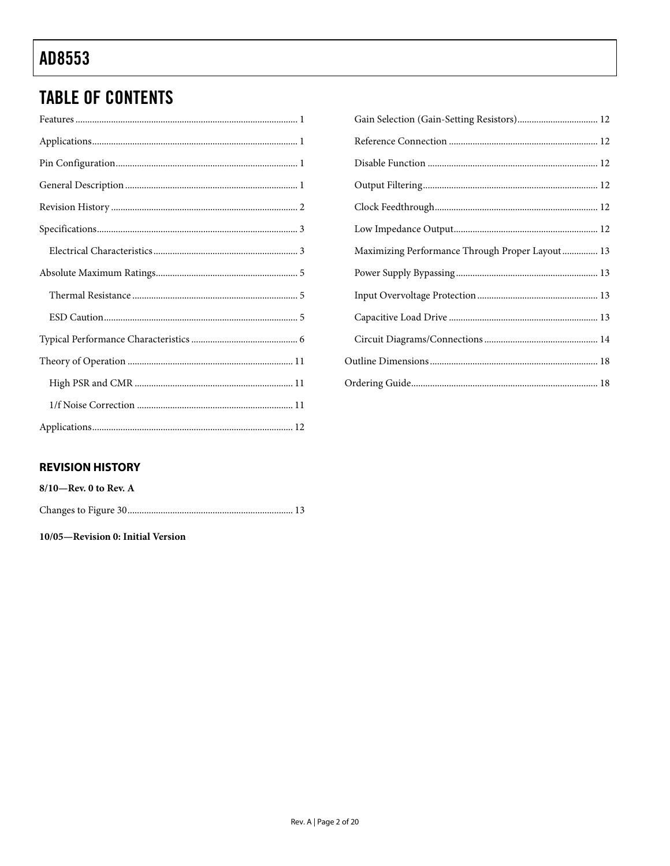## <span id="page-1-0"></span>**TABLE OF CONTENTS**

| Gain Selection (Gain-Setting Resistors) 12      |
|-------------------------------------------------|
|                                                 |
|                                                 |
|                                                 |
|                                                 |
|                                                 |
| Maximizing Performance Through Proper Layout 13 |
|                                                 |
|                                                 |
|                                                 |
|                                                 |
|                                                 |
|                                                 |

### **REVISION HISTORY**

| $8/10$ —Rev. 0 to Rev. A |  |
|--------------------------|--|
|                          |  |

10/05-Revision 0: Initial Version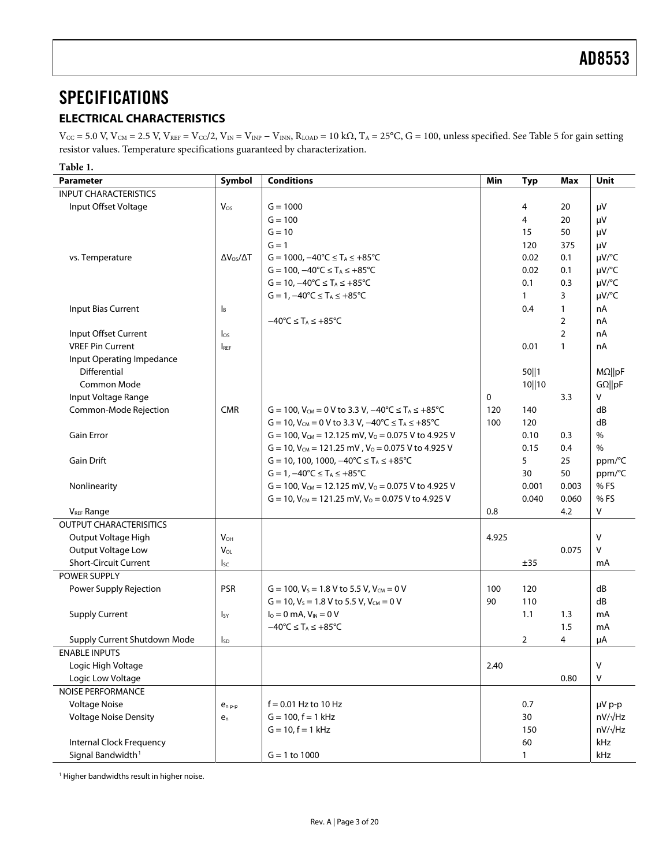### <span id="page-2-0"></span>**SPECIFICATIONS**

### **ELECTRICAL CHARACTERISTICS**

 $V_{\text{CC}}$  = 5.0 V,  $V_{\text{CM}}$  = 2.5 V,  $V_{\text{REF}}$  =  $V_{\text{CC}}/2$ ,  $V_{\text{IN}}$  =  $V_{\text{IN}}$ ,  $R_{\text{LOAD}}$  = 10 k $\Omega$ ,  $T_{\text{A}}$  = 25°C, G = 100, unless specified. See [Table 5](#page-16-0) for gain setting resistor values. Temperature specifications guaranteed by characterization.

**Table 1.** 

| Parameter                      | Symbol                    | <b>Conditions</b>                                                            | Min         | <b>Typ</b>   | Max            | Unit               |
|--------------------------------|---------------------------|------------------------------------------------------------------------------|-------------|--------------|----------------|--------------------|
| <b>INPUT CHARACTERISTICS</b>   |                           |                                                                              |             |              |                |                    |
| Input Offset Voltage           | $V_{OS}$                  | $G = 1000$                                                                   |             | 4            | 20             | μV                 |
|                                |                           | $G = 100$                                                                    |             | 4            | 20             | μV                 |
|                                |                           | $G = 10$                                                                     |             | 15           | 50             | μV                 |
|                                |                           | $G = 1$                                                                      |             | 120          | 375            | μV                 |
| vs. Temperature                | $\Delta V_{OS}/\Delta T$  | $G = 1000, -40^{\circ}C \leq T_A \leq +85^{\circ}C$                          |             | 0.02         | 0.1            | µV/°C              |
|                                |                           | $G = 100, -40^{\circ}C \le T_A \le +85^{\circ}C$                             |             | 0.02         | 0.1            | µV/°C              |
|                                |                           | $G = 10, -40^{\circ}C \leq T_A \leq +85^{\circ}C$                            |             | 0.1          | 0.3            | µV/°C              |
|                                |                           | $G = 1, -40^{\circ}C \leq T_A \leq +85^{\circ}C$                             |             | $\mathbf{1}$ | 3              | µV/°C              |
| Input Bias Current             | $\mathsf{I}_{\mathsf{B}}$ |                                                                              |             | 0.4          | $\mathbf{1}$   | nA                 |
|                                |                           | $-40^{\circ}$ C $\leq$ T <sub>A</sub> $\leq$ +85°C                           |             |              | $\overline{2}$ | nA                 |
| Input Offset Current           | $I_{OS}$                  |                                                                              |             |              | $\overline{2}$ | nA                 |
| <b>VREF Pin Current</b>        | <b>IREF</b>               |                                                                              |             | 0.01         | $\mathbf{1}$   | nA                 |
| Input Operating Impedance      |                           |                                                                              |             |              |                |                    |
| Differential                   |                           |                                                                              |             | 50  1        |                | $M\Omega$   pF     |
| Common Mode                    |                           |                                                                              |             | 10  10       |                | $G\Omega$   pF     |
| Input Voltage Range            |                           |                                                                              | $\mathbf 0$ |              | 3.3            | v                  |
| Common-Mode Rejection          | <b>CMR</b>                | $G = 100$ , $V_{CM} = 0$ V to 3.3 V, $-40^{\circ}C \le T_A \le +85^{\circ}C$ | 120         | 140          |                | dB                 |
|                                |                           | $G = 10$ , $V_{CM} = 0$ V to 3.3 V, $-40^{\circ}C \le T_A \le +85^{\circ}C$  | 100         | 120          |                | dB                 |
| <b>Gain Error</b>              |                           | $G = 100$ , $V_{CM} = 12.125$ mV, $V_0 = 0.075$ V to 4.925 V                 |             | 0.10         | 0.3            | %                  |
|                                |                           | $G = 10$ , $V_{CM} = 121.25$ mV, $V_0 = 0.075$ V to 4.925 V                  |             | 0.15         | 0.4            | $\%$               |
| <b>Gain Drift</b>              |                           | $G = 10, 100, 1000, -40^{\circ}C \leq T_A \leq +85^{\circ}C$                 |             | 5            | 25             | ppm/°C             |
|                                |                           | $G = 1, -40^{\circ}C \leq T_A \leq +85^{\circ}C$                             |             | 30           | 50             | ppm/°C             |
| Nonlinearity                   |                           | $G = 100$ , $V_{CM} = 12.125$ mV, $V_0 = 0.075$ V to 4.925 V                 |             | 0.001        | 0.003          | %FS                |
|                                |                           | $G = 10$ , $V_{CM} = 121.25$ mV, $V_0 = 0.075$ V to 4.925 V                  |             | 0.040        | 0.060          | %FS                |
| <b>VREF Range</b>              |                           |                                                                              | 0.8         |              | 4.2            | v                  |
| <b>OUTPUT CHARACTERISITICS</b> |                           |                                                                              |             |              |                |                    |
| Output Voltage High            | $V_{OH}$                  |                                                                              | 4.925       |              |                | V                  |
| Output Voltage Low             | $V_{OL}$                  |                                                                              |             |              | 0.075          | $\vee$             |
| <b>Short-Circuit Current</b>   | $I_{SC}$                  |                                                                              |             | ±35          |                | mA                 |
| POWER SUPPLY                   |                           |                                                                              |             |              |                |                    |
| Power Supply Rejection         | <b>PSR</b>                | $G = 100$ , $V_s = 1.8$ V to 5.5 V, $V_{cm} = 0$ V                           | 100         | 120          |                | dB                 |
|                                |                           | $G = 10$ , $V_s = 1.8 V$ to 5.5 V, $V_{cm} = 0 V$                            | 90          | 110          |                | dB                 |
| <b>Supply Current</b>          | $I_{SY}$                  | $I_0 = 0$ mA, $V_{IN} = 0$ V                                                 |             | 1.1          | 1.3            | mA                 |
|                                |                           | $-40^{\circ}C \leq T_A \leq +85^{\circ}C$                                    |             |              | 1.5            | mA                 |
| Supply Current Shutdown Mode   | <sub>sD</sub>             |                                                                              |             | 2            | 4              | μA                 |
| <b>ENABLE INPUTS</b>           |                           |                                                                              |             |              |                |                    |
| Logic High Voltage             |                           |                                                                              | 2.40        |              |                | V                  |
| Logic Low Voltage              |                           |                                                                              |             |              | 0.80           | V                  |
| NOISE PERFORMANCE              |                           |                                                                              |             |              |                |                    |
| <b>Voltage Noise</b>           | $e_{n,p-p}$               | $f = 0.01$ Hz to 10 Hz                                                       |             | 0.7          |                | µV p-p             |
| <b>Voltage Noise Density</b>   | $e_n$                     | $G = 100$ , $f = 1$ kHz                                                      |             | 30           |                | nV/√Hz             |
|                                |                           | $G = 10, f = 1$ kHz                                                          |             | 150          |                | nV/ <sub>VHz</sub> |
| Internal Clock Frequency       |                           |                                                                              |             | 60           |                | kHz                |
| Signal Bandwidth <sup>1</sup>  |                           | $G = 1$ to 1000                                                              |             | 1            |                | kHz                |

<sup>1</sup> Higher bandwidths result in higher noise.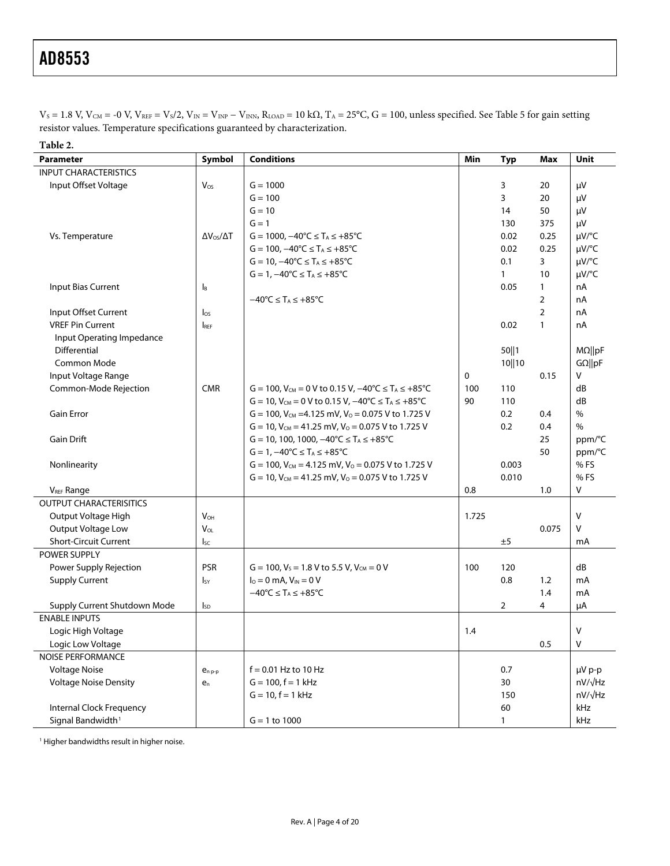$V_S = 1.8$  V,  $V_{\text{CM}} = -0$  V,  $V_{\text{REF}} = V_S/2$ ,  $V_{\text{IN}} = V_{\text{IN}} - V_{\text{INN}}$ ,  $R_{\text{LOAD}} = 10$  k $\Omega$ ,  $T_A = 25^{\circ}\text{C}$ ,  $G = 100$ , unless specified. See [Table 5](#page-16-0) for gain setting resistor values. Temperature specifications guaranteed by characterization.

| Table 2.                       |                           |                                                                               |       |              |                |                |
|--------------------------------|---------------------------|-------------------------------------------------------------------------------|-------|--------------|----------------|----------------|
| <b>Parameter</b>               | Symbol                    | <b>Conditions</b>                                                             | Min   | <b>Typ</b>   | Max            | <b>Unit</b>    |
| <b>INPUT CHARACTERISTICS</b>   |                           |                                                                               |       |              |                |                |
| Input Offset Voltage           | $V_{OS}$                  | $G = 1000$                                                                    |       | 3            | 20             | μV             |
|                                |                           | $G = 100$                                                                     |       | 3            | 20             | μV             |
|                                |                           | $G = 10$                                                                      |       | 14           | 50             | μV             |
|                                |                           | $G = 1$                                                                       |       | 130          | 375            | μV             |
| Vs. Temperature                | $\Delta V_{OS}/\Delta T$  | $G = 1000, -40^{\circ}C \leq T_A \leq +85^{\circ}C$                           |       | 0.02         | 0.25           | µV/°C          |
|                                |                           | $G = 100, -40^{\circ}C \leq T_A \leq +85^{\circ}C$                            |       | 0.02         | 0.25           | µV/°C          |
|                                |                           | $G = 10, -40^{\circ}C \leq T_A \leq +85^{\circ}C$                             |       | 0.1          | 3              | µV/°C          |
|                                |                           | $G = 1, -40^{\circ}C \le T_A \le +85^{\circ}C$                                |       | $\mathbf{1}$ | 10             | µV/°C          |
| Input Bias Current             | $\mathsf{I}_{\mathsf{B}}$ |                                                                               |       | 0.05         | $\mathbf{1}$   | пA             |
|                                |                           | $-40^{\circ}C \leq T_A \leq +85^{\circ}C$                                     |       |              | $\overline{2}$ | пA             |
| Input Offset Current           | $\log$                    |                                                                               |       |              | $\overline{2}$ | nA             |
| <b>VREF Pin Current</b>        | <b>IREF</b>               |                                                                               |       | 0.02         | $\mathbf{1}$   | nA             |
| Input Operating Impedance      |                           |                                                                               |       |              |                |                |
| Differential                   |                           |                                                                               |       | 50  1        |                | $M\Omega$   pF |
| <b>Common Mode</b>             |                           |                                                                               |       | 10  10       |                | $G\Omega$   pF |
| Input Voltage Range            |                           |                                                                               | 0     |              | 0.15           | V              |
| Common-Mode Rejection          | <b>CMR</b>                | $G = 100$ , $V_{CM} = 0$ V to 0.15 V, $-40^{\circ}C \le T_A \le +85^{\circ}C$ | 100   | 110          |                | dB             |
|                                |                           | $G = 10$ , $V_{CM} = 0$ V to 0.15 V, $-40^{\circ}C \le T_A \le +85^{\circ}C$  | 90    | 110          |                | dB             |
| <b>Gain Error</b>              |                           | $G = 100$ , $V_{CM} = 4.125$ mV, $V_0 = 0.075$ V to 1.725 V                   |       | 0.2          | 0.4            | $\%$           |
|                                |                           | $G = 10$ , $V_{CM} = 41.25$ mV, $V_0 = 0.075$ V to 1.725 V                    |       | 0.2          | 0.4            | %              |
| <b>Gain Drift</b>              |                           | $G = 10, 100, 1000, -40^{\circ}C \leq T_A \leq +85^{\circ}C$                  |       |              | 25             | ppm/°C         |
|                                |                           | $G = 1, -40^{\circ}C \leq T_A \leq +85^{\circ}C$                              |       |              | 50             | ppm/°C         |
| Nonlinearity                   |                           | $G = 100$ , $V_{CM} = 4.125$ mV, $V_0 = 0.075$ V to 1.725 V                   |       | 0.003        |                | % FS           |
|                                |                           | $G = 10$ , $V_{CM} = 41.25$ mV, $V_0 = 0.075$ V to 1.725 V                    |       | 0.010        |                | % FS           |
| <b>VREF Range</b>              |                           |                                                                               | 0.8   |              | 1.0            | Λ              |
| <b>OUTPUT CHARACTERISITICS</b> |                           |                                                                               |       |              |                |                |
| Output Voltage High            | $V_{OH}$                  |                                                                               | 1.725 |              |                | V              |
| Output Voltage Low             | $V_{OL}$                  |                                                                               |       |              | 0.075          | v              |
| <b>Short-Circuit Current</b>   | $I_{SC}$                  |                                                                               |       | ±5           |                | mA             |
| POWER SUPPLY                   |                           |                                                                               |       |              |                |                |
| Power Supply Rejection         | <b>PSR</b>                | $G = 100$ , $V_s = 1.8$ V to 5.5 V, $V_{cm} = 0$ V                            | 100   | 120          |                | dB             |
| <b>Supply Current</b>          | $I_{SY}$                  | $I_0 = 0$ mA, $V_{IN} = 0$ V                                                  |       | 0.8          | 1.2            | mA             |
|                                |                           | $-40^{\circ}C \leq T_A \leq +85^{\circ}C$                                     |       |              | 1.4            | mA             |
| Supply Current Shutdown Mode   | <b>I</b> sp               |                                                                               |       | 2            | 4              | μA             |
| <b>ENABLE INPUTS</b>           |                           |                                                                               |       |              |                |                |
| Logic High Voltage             |                           |                                                                               | 1.4   |              |                | ۷              |
| Logic Low Voltage              |                           |                                                                               |       |              | 0.5            | $\vee$         |
| <b>NOISE PERFORMANCE</b>       |                           |                                                                               |       |              |                |                |
| <b>Voltage Noise</b>           | $e_{n,p-p}$               | $f = 0.01$ Hz to 10 Hz                                                        |       | 0.7          |                | µV p-p         |
| <b>Voltage Noise Density</b>   | $e_n$                     | $G = 100$ , $f = 1$ kHz                                                       |       | 30           |                | nV/√Hz         |
|                                |                           | $G = 10$ , $f = 1$ kHz                                                        |       | 150          |                | nV/√Hz         |
| Internal Clock Frequency       |                           |                                                                               |       | 60           |                | kHz            |
| Signal Bandwidth <sup>1</sup>  |                           | $G = 1$ to 1000                                                               |       | $\mathbf{1}$ |                | kHz            |

<sup>1</sup> Higher bandwidths result in higher noise.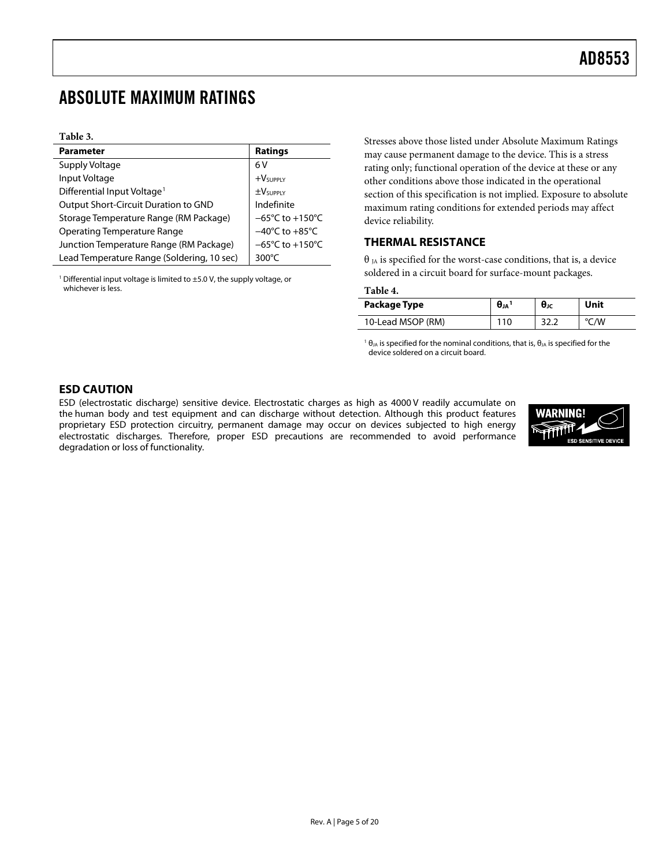### <span id="page-4-0"></span>ABSOLUTE MAXIMUM RATINGS

#### **Table 3.**

| <b>Parameter</b>                           | <b>Ratings</b>                       |
|--------------------------------------------|--------------------------------------|
| Supply Voltage                             | 6 V                                  |
| Input Voltage                              | $+VSUPPLY$                           |
| Differential Input Voltage <sup>1</sup>    | $\pm$ V <sub>SUPPLY</sub>            |
| Output Short-Circuit Duration to GND       | Indefinite                           |
| Storage Temperature Range (RM Package)     | $-65^{\circ}$ C to +150 $^{\circ}$ C |
| <b>Operating Temperature Range</b>         | $-40^{\circ}$ C to $+85^{\circ}$ C   |
| Junction Temperature Range (RM Package)    | $-65^{\circ}$ C to +150 $^{\circ}$ C |
| Lead Temperature Range (Soldering, 10 sec) | 300 $\degree$ C                      |

<span id="page-4-1"></span><sup>1</sup> Differential input voltage is limited to  $\pm$ 5.0 V, the supply voltage, or whichever is less.

Stresses above those listed under Absolute Maximum Ratings may cause permanent damage to the device. This is a stress rating only; functional operation of the device at these or any other conditions above those indicated in the operational section of this specification is not implied. Exposure to absolute maximum rating conditions for extended periods may affect device reliability.

#### **THERMAL RESISTANCE**

 $\theta$ <sub>IA</sub> is specified for the worst-case conditions, that is, a device soldered in a circuit board for surface-mount packages.

**Table 4.** 

| Package Type      | $\theta_{JA}$ | $\theta$ JC | Unit               |
|-------------------|---------------|-------------|--------------------|
| 10-Lead MSOP (RM) | 110           |             | $\rm ^{\circ}$ C/W |

<sup>1</sup>  $\theta$ <sub>JA</sub> is specified for the nominal conditions, that is,  $\theta$ <sub>JA</sub> is specified for the device soldered on a circuit board.

#### **ESD CAUTION**

ESD (electrostatic discharge) sensitive device. Electrostatic charges as high as 4000 V readily accumulate on the human body and test equipment and can discharge without detection. Although this product features proprietary ESD protection circuitry, permanent damage may occur on devices subjected to high energy electrostatic discharges. Therefore, proper ESD precautions are recommended to avoid performance degradation or loss of functionality.

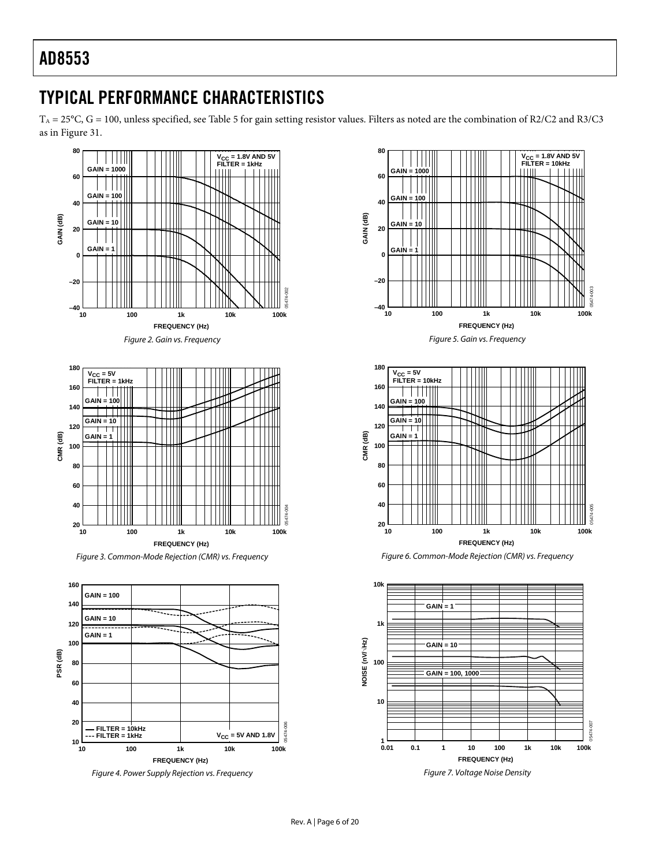### <span id="page-5-0"></span>TYPICAL PERFORMANCE CHARACTERISTICS

TA = 25°C, G = 100, unless specified, see [Table 5](#page-16-0) for gain setting resistor values. Filters as noted are the combination of R2/C2 and R3/C3 as in [Figure 31](#page-13-1).









Figure 6. Common-Mode Rejection (CMR) vs. Frequency

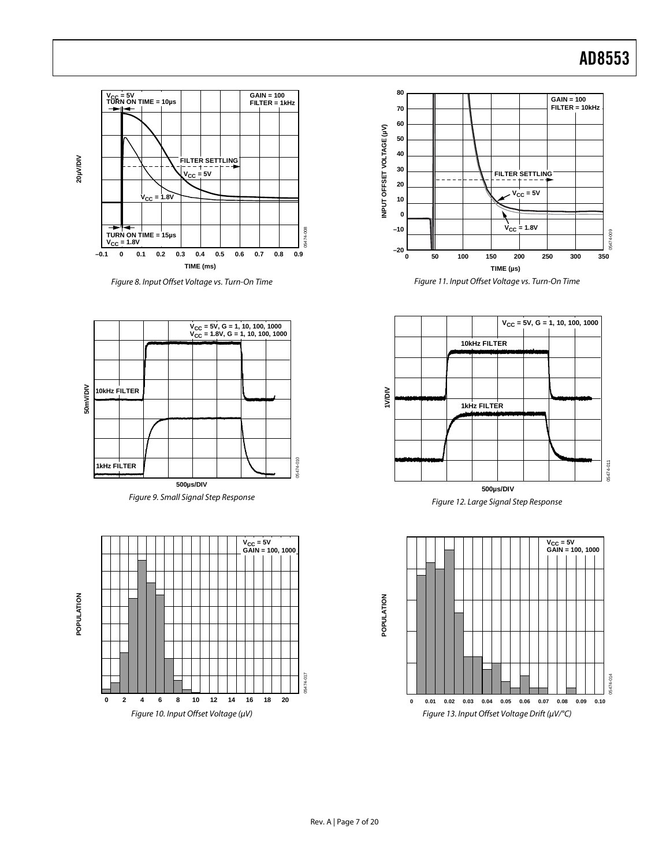

**0 2 4 6 8 10 12 14 20**

Figure 10. Input Offset Voltage (μV)









**POPULATION POPULATION**

−

05474-017

05474-017

**16 18**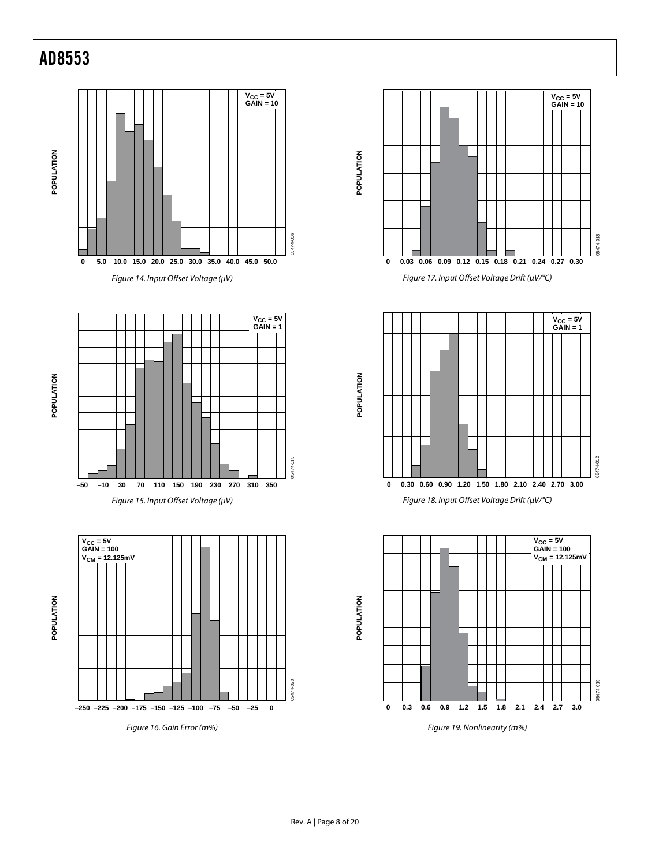

05474-013

05474-013

05474-012

05474-012

05474-019

05474-019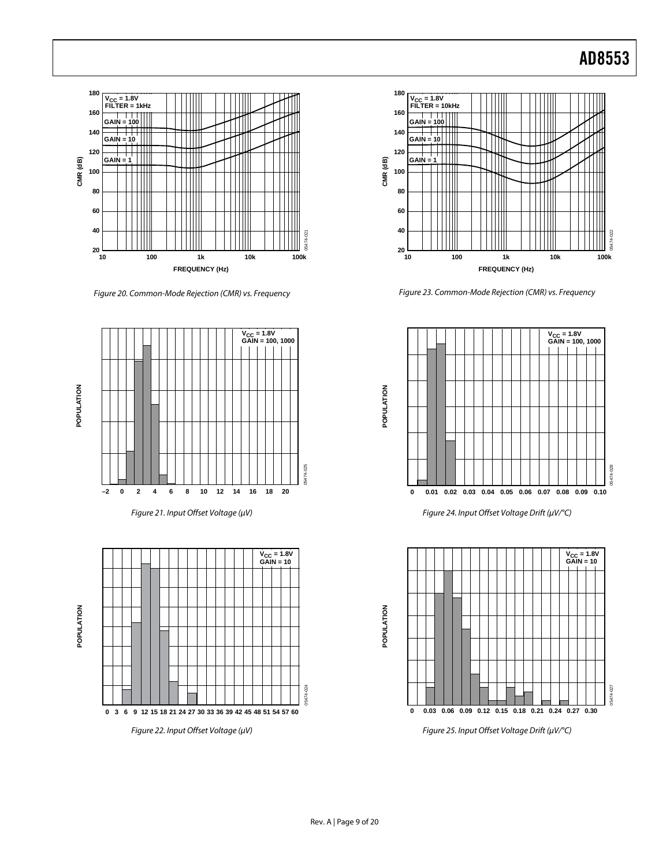

Figure 20. Common-Mode Rejection (CMR) vs. Frequency









Figure 22. Input Offset Voltage (μV)



Figure 23. Common-Mode Rejection (CMR) vs. Frequency



Figure 24. Input Offset Voltage Drift (μV/°C)



Figure 25. Input Offset Voltage Drift (μV/°C)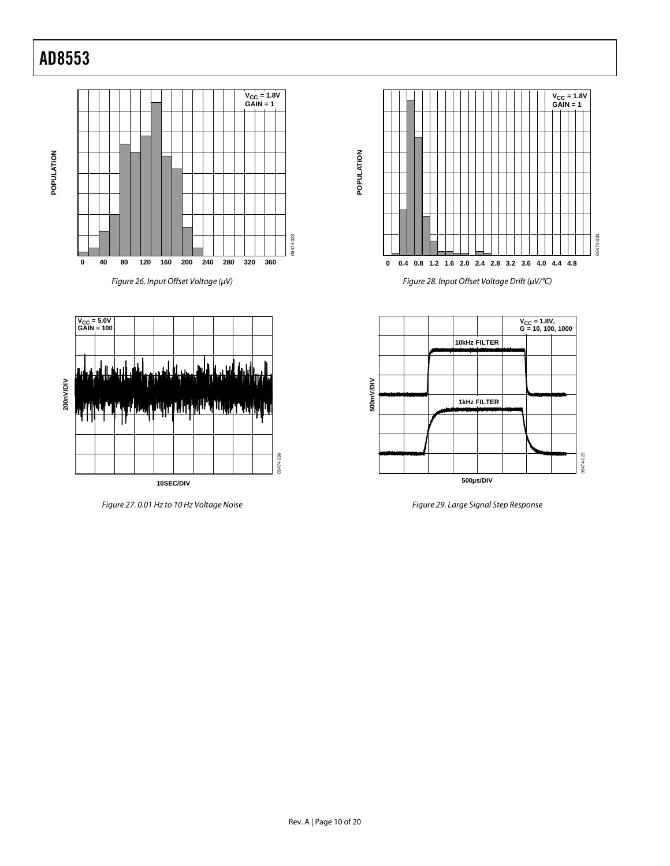**POPULATION**

POPULATION













Figure 28. Input Offset Voltage Drift (μV/°C)



Figure 29. Large Signal Step Response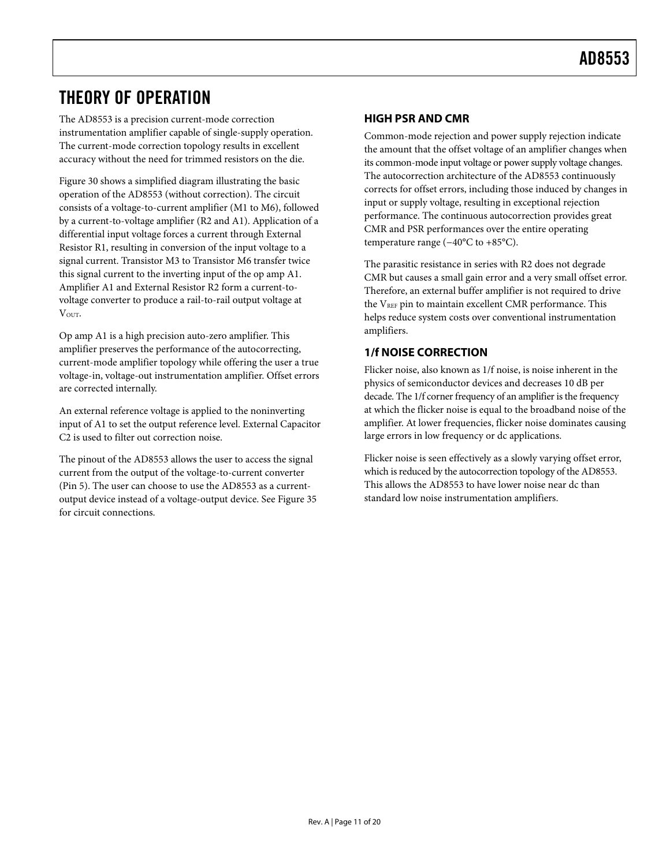### <span id="page-10-0"></span>THEORY OF OPERATION

The AD8553 is a precision current-mode correction instrumentation amplifier capable of single-supply operation. The current-mode correction topology results in excellent accuracy without the need for trimmed resistors on the die.

[Figure 30](#page-12-1) shows a simplified diagram illustrating the basic operation of the AD8553 (without correction). The circuit consists of a voltage-to-current amplifier (M1 to M6), followed by a current-to-voltage amplifier (R2 and A1). Application of a differential input voltage forces a current through External Resistor R1, resulting in conversion of the input voltage to a signal current. Transistor M3 to Transistor M6 transfer twice this signal current to the inverting input of the op amp A1. Amplifier A1 and External Resistor R2 form a current-tovoltage converter to produce a rail-to-rail output voltage at VOUT.

Op amp A1 is a high precision auto-zero amplifier. This amplifier preserves the performance of the autocorrecting, current-mode amplifier topology while offering the user a true voltage-in, voltage-out instrumentation amplifier. Offset errors are corrected internally.

An external reference voltage is applied to the noninverting input of A1 to set the output reference level. External Capacitor C2 is used to filter out correction noise.

The pinout of the AD8553 allows the user to access the signal current from the output of the voltage-to-current converter (Pin 5). The user can choose to use the AD8553 as a currentoutput device instead of a voltage-output device. See [Figure 35](#page-15-0) for circuit connections.

#### **HIGH PSR AND CMR**

Common-mode rejection and power supply rejection indicate the amount that the offset voltage of an amplifier changes when its common-mode input voltage or power supply voltage changes. The autocorrection architecture of the AD8553 continuously corrects for offset errors, including those induced by changes in input or supply voltage, resulting in exceptional rejection performance. The continuous autocorrection provides great CMR and PSR performances over the entire operating temperature range (−40°C to +85°C).

The parasitic resistance in series with R2 does not degrade CMR but causes a small gain error and a very small offset error. Therefore, an external buffer amplifier is not required to drive the V<sub>REF</sub> pin to maintain excellent CMR performance. This helps reduce system costs over conventional instrumentation amplifiers.

### **1/f NOISE CORRECTION**

Flicker noise, also known as 1/f noise, is noise inherent in the physics of semiconductor devices and decreases 10 dB per decade. The 1/f corner frequency of an amplifier is the frequency at which the flicker noise is equal to the broadband noise of the amplifier. At lower frequencies, flicker noise dominates causing large errors in low frequency or dc applications.

Flicker noise is seen effectively as a slowly varying offset error, which is reduced by the autocorrection topology of the AD8553. This allows the AD8553 to have lower noise near dc than standard low noise instrumentation amplifiers.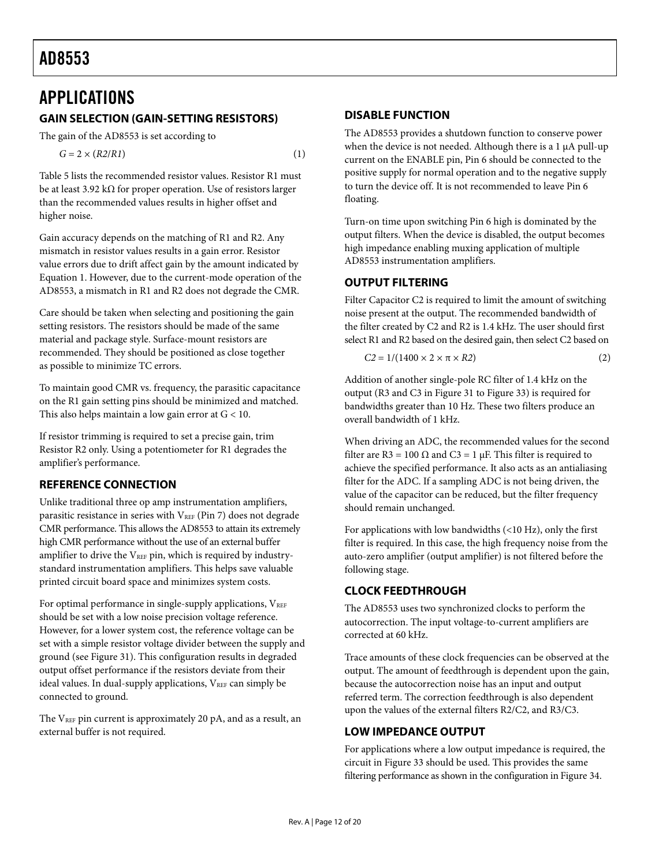### <span id="page-11-0"></span>APPLICATIONS **GAIN SELECTION (GAIN-SETTING RESISTORS)**

The gain of the AD8553 is set according to

$$
G = 2 \times (R2/R1) \tag{1}
$$

[Table 5](#page-16-0) lists the recommended resistor values. Resistor R1 must be at least 3.92 kΩ for proper operation. Use of resistors larger than the recommended values results in higher offset and higher noise.

Gain accuracy depends on the matching of R1 and R2. Any mismatch in resistor values results in a gain error. Resistor value errors due to drift affect gain by the amount indicated by Equation 1. However, due to the current-mode operation of the AD8553, a mismatch in R1 and R2 does not degrade the CMR.

Care should be taken when selecting and positioning the gain setting resistors. The resistors should be made of the same material and package style. Surface-mount resistors are recommended. They should be positioned as close together as possible to minimize TC errors.

To maintain good CMR vs. frequency, the parasitic capacitance on the R1 gain setting pins should be minimized and matched. This also helps maintain a low gain error at G < 10.

If resistor trimming is required to set a precise gain, trim Resistor R2 only. Using a potentiometer for R1 degrades the amplifier's performance.

### **REFERENCE CONNECTION**

Unlike traditional three op amp instrumentation amplifiers, parasitic resistance in series with  $V_{REF}$  (Pin 7) does not degrade CMR performance. This allows the AD8553 to attain its extremely high CMR performance without the use of an external buffer amplifier to drive the  $V_{REF}$  pin, which is required by industrystandard instrumentation amplifiers. This helps save valuable printed circuit board space and minimizes system costs.

For optimal performance in single-supply applications,  $V_{REF}$ should be set with a low noise precision voltage reference. However, for a lower system cost, the reference voltage can be set with a simple resistor voltage divider between the supply and ground (see [Figure 31\)](#page-13-1). This configuration results in degraded output offset performance if the resistors deviate from their ideal values. In dual-supply applications,  $V_{REF}$  can simply be connected to ground.

The  $V_{REF}$  pin current is approximately 20 pA, and as a result, an external buffer is not required.

#### **DISABLE FUNCTION**

The AD8553 provides a shutdown function to conserve power when the device is not needed. Although there is a 1 μA pull-up current on the ENABLE pin, Pin 6 should be connected to the positive supply for normal operation and to the negative supply to turn the device off. It is not recommended to leave Pin 6 floating.

Turn-on time upon switching Pin 6 high is dominated by the output filters. When the device is disabled, the output becomes high impedance enabling muxing application of multiple AD8553 instrumentation amplifiers.

#### **OUTPUT FILTERING**

Filter Capacitor C2 is required to limit the amount of switching noise present at the output. The recommended bandwidth of the filter created by C2 and R2 is 1.4 kHz. The user should first select R1 and R2 based on the desired gain, then select C2 based on

$$
C2 = 1/(1400 \times 2 \times \pi \times R2)
$$
 (2)

Addition of another single-pole RC filter of 1.4 kHz on the output (R3 and C3 in [Figure 31](#page-13-1) to [Figure 33\)](#page-14-0) is required for bandwidths greater than 10 Hz. These two filters produce an overall bandwidth of 1 kHz.

When driving an ADC, the recommended values for the second filter are R3 = 100  $\Omega$  and C3 = 1  $\mu$ F. This filter is required to achieve the specified performance. It also acts as an antialiasing filter for the ADC. If a sampling ADC is not being driven, the value of the capacitor can be reduced, but the filter frequency should remain unchanged.

For applications with low bandwidths (<10 Hz), only the first filter is required. In this case, the high frequency noise from the auto-zero amplifier (output amplifier) is not filtered before the following stage.

### **CLOCK FEEDTHROUGH**

The AD8553 uses two synchronized clocks to perform the autocorrection. The input voltage-to-current amplifiers are corrected at 60 kHz.

Trace amounts of these clock frequencies can be observed at the output. The amount of feedthrough is dependent upon the gain, because the autocorrection noise has an input and output referred term. The correction feedthrough is also dependent upon the values of the external filters R2/C2, and R3/C3.

### **LOW IMPEDANCE OUTPUT**

For applications where a low output impedance is required, the circuit in [Figure 33](#page-14-0) should be used. This provides the same filtering performance as shown in the configuration in [Figure 34.](#page-14-1)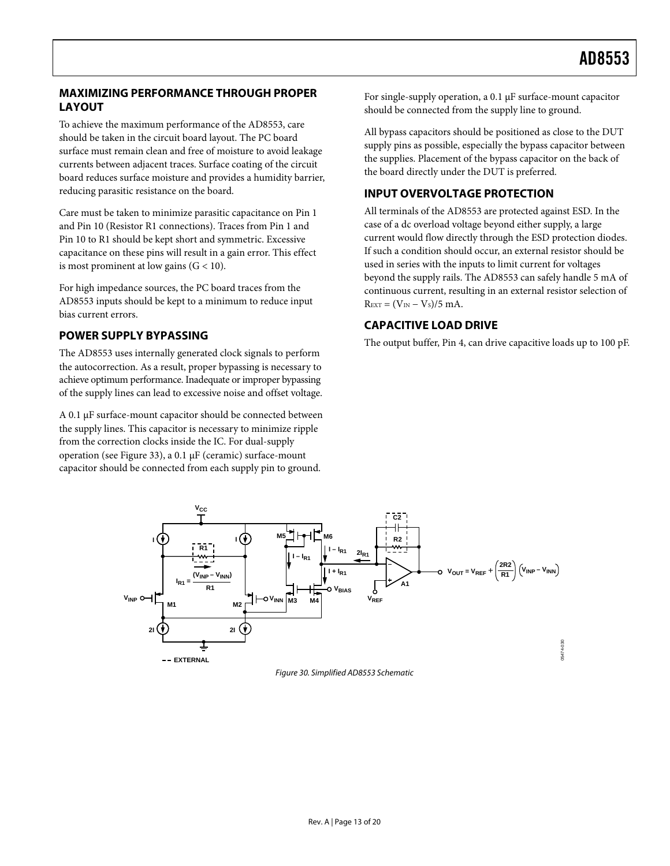#### <span id="page-12-0"></span>**MAXIMIZING PERFORMANCE THROUGH PROPER LAYOUT**

To achieve the maximum performance of the AD8553, care should be taken in the circuit board layout. The PC board surface must remain clean and free of moisture to avoid leakage currents between adjacent traces. Surface coating of the circuit board reduces surface moisture and provides a humidity barrier, reducing parasitic resistance on the board.

Care must be taken to minimize parasitic capacitance on Pin 1 and Pin 10 (Resistor R1 connections). Traces from Pin 1 and Pin 10 to R1 should be kept short and symmetric. Excessive capacitance on these pins will result in a gain error. This effect is most prominent at low gains  $(G < 10)$ .

For high impedance sources, the PC board traces from the AD8553 inputs should be kept to a minimum to reduce input bias current errors.

#### **POWER SUPPLY BYPASSING**

The AD8553 uses internally generated clock signals to perform the autocorrection. As a result, proper bypassing is necessary to achieve optimum performance. Inadequate or improper bypassing of the supply lines can lead to excessive noise and offset voltage.

A 0.1 μF surface-mount capacitor should be connected between the supply lines. This capacitor is necessary to minimize ripple from the correction clocks inside the IC. For dual-supply operation (see [Figure 33\)](#page-14-0), a 0.1 μF (ceramic) surface-mount capacitor should be connected from each supply pin to ground.

For single-supply operation, a 0.1 μF surface-mount capacitor should be connected from the supply line to ground.

All bypass capacitors should be positioned as close to the DUT supply pins as possible, especially the bypass capacitor between the supplies. Placement of the bypass capacitor on the back of the board directly under the DUT is preferred.

### **INPUT OVERVOLTAGE PROTECTION**

All terminals of the AD8553 are protected against ESD. In the case of a dc overload voltage beyond either supply, a large current would flow directly through the ESD protection diodes. If such a condition should occur, an external resistor should be used in series with the inputs to limit current for voltages beyond the supply rails. The AD8553 can safely handle 5 mA of continuous current, resulting in an external resistor selection of  $R_{\text{EXT}} = (V_{\text{IN}} - V_{\text{S}})/5$  mA.

### **CAPACITIVE LOAD DRIVE**

The output buffer, Pin 4, can drive capacitive loads up to 100 pF.

<span id="page-12-1"></span>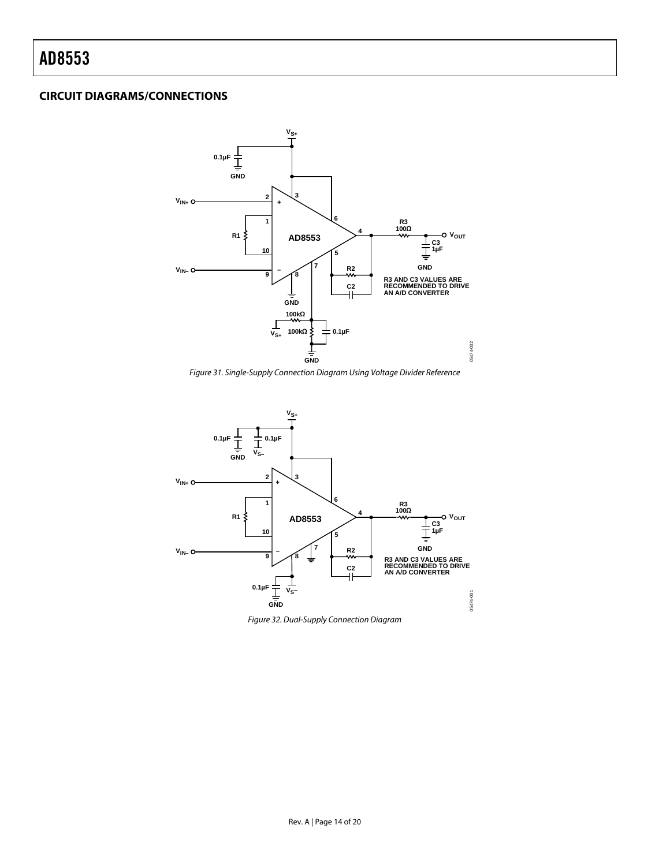#### <span id="page-13-0"></span>**CIRCUIT DIAGRAMS/CONNECTIONS**



Figure 31. Single-Supply Connection Diagram Using Voltage Divider Reference

<span id="page-13-1"></span>

Figure 32. Dual-Supply Connection Diagram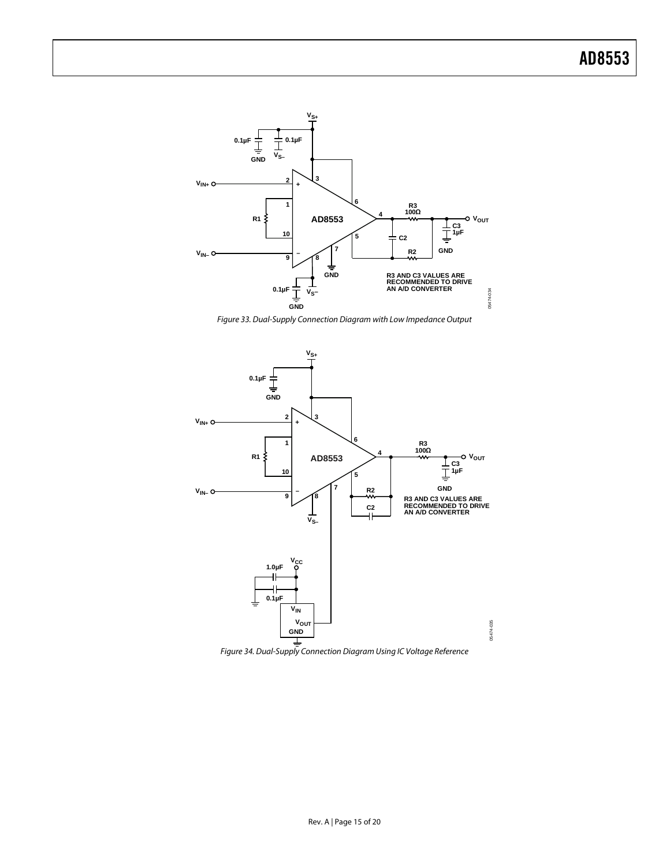

Figure 33. Dual-Supply Connection Diagram with Low Impedance Output

<span id="page-14-0"></span>

<span id="page-14-1"></span>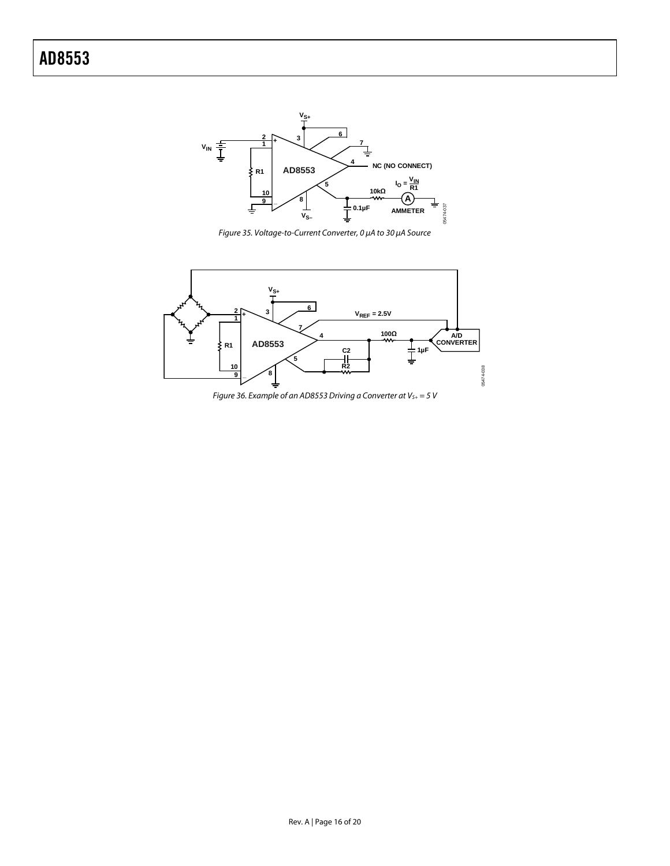

Figure 35. Voltage-to-Current Converter, 0 μA to 30 μA Source

<span id="page-15-0"></span>

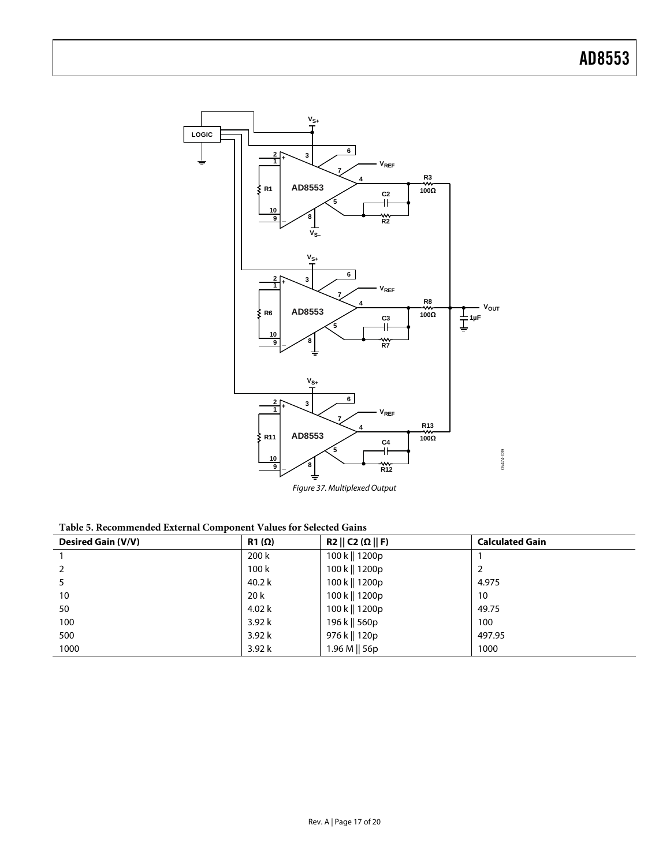

Figure 37. Multiplexed Output

| Table 5. Recommended External Component Values for Selected Gains |  |
|-------------------------------------------------------------------|--|
|-------------------------------------------------------------------|--|

<span id="page-16-0"></span>

| <b>Desired Gain (V/V)</b> | $R1(\Omega)$ | $R2 \parallel C2 (\Omega \parallel F)$ | <b>Calculated Gain</b> |
|---------------------------|--------------|----------------------------------------|------------------------|
|                           | 200 k        | 100 k    1200p                         |                        |
|                           | 100k         | 100 k    1200p                         | $\overline{2}$         |
|                           | 40.2 k       | 100 k    1200p                         | 4.975                  |
| 10                        | 20 k         | 100 k    1200p                         | 10                     |
| 50                        | 4.02 k       | 100 k    1200p                         | 49.75                  |
| 100                       | 3.92k        | 196 k    560p                          | 100                    |
| 500                       | 3.92k        | 976 k    120p                          | 497.95                 |
| 1000                      | 3.92k        | 1.96 M    56p                          | 1000                   |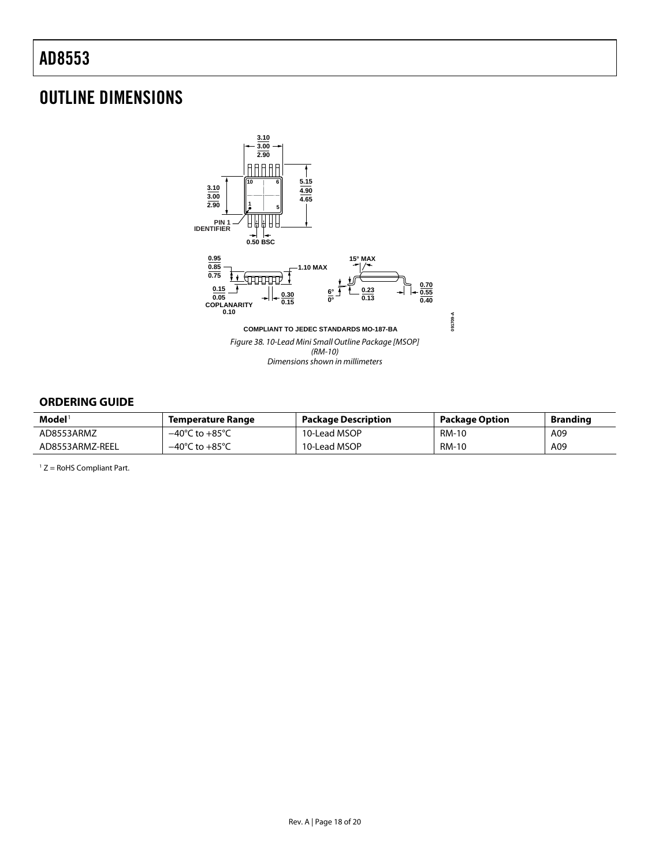### <span id="page-17-0"></span>OUTLINE DIMENSIONS



#### **ORDERING GUIDE**

| Model'          | Temperature Range                  | <b>Package Description</b> | Package Option | <b>Branding</b> |
|-----------------|------------------------------------|----------------------------|----------------|-----------------|
| AD8553ARMZ      | $-40^{\circ}$ C to $+85^{\circ}$ C | 10-Lead MSOP               | <b>RM-10</b>   | A09             |
| AD8553ARMZ-REEL | $-40^{\circ}$ C to $+85^{\circ}$ C | 10-Lead MSOP               | <b>RM-10</b>   | A09             |

 $1 Z =$  RoHS Compliant Part.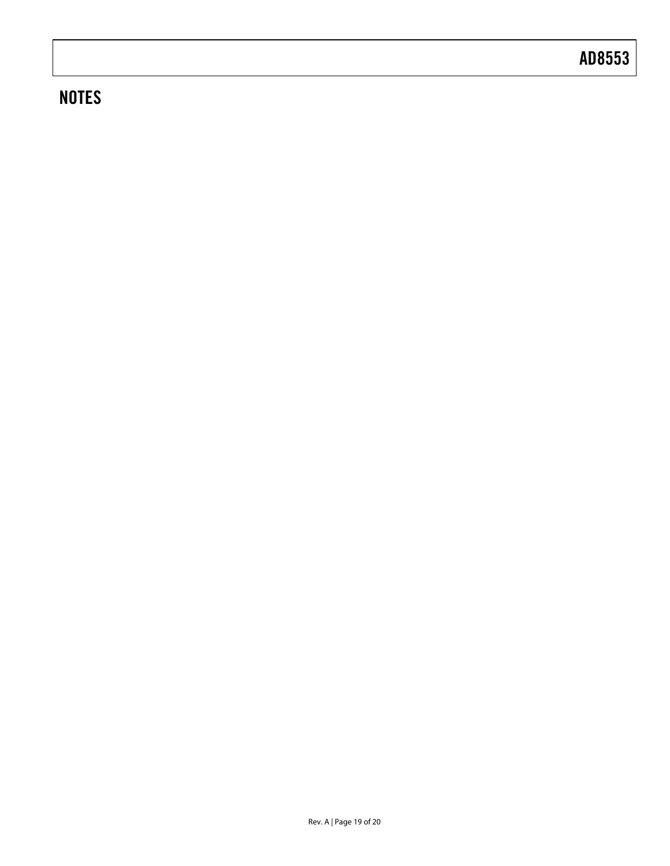## **NOTES**